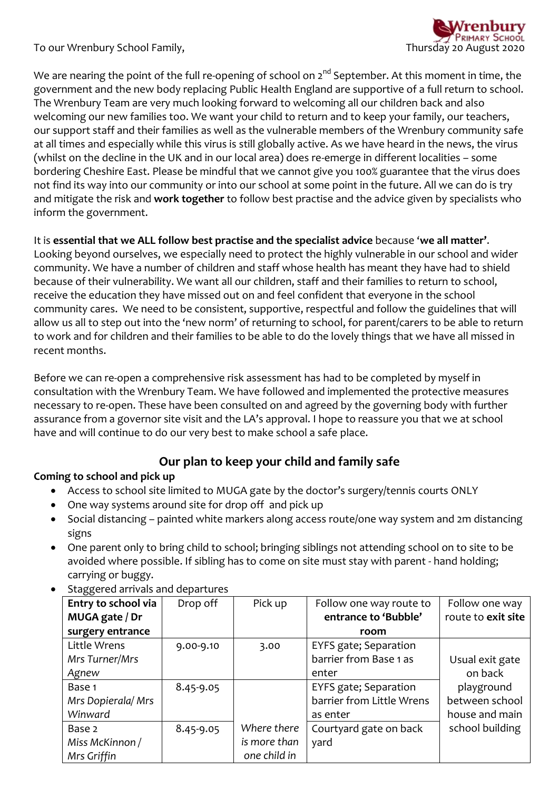To our Wrenbury School Family, Thursday 20 August 2020



We are nearing the point of the full re-opening of school on  $2^{nd}$  September. At this moment in time, the government and the new body replacing Public Health England are supportive of a full return to school. The Wrenbury Team are very much looking forward to welcoming all our children back and also welcoming our new families too. We want your child to return and to keep your family, our teachers, our support staff and their families as well as the vulnerable members of the Wrenbury community safe at all times and especially while this virus is still globally active. As we have heard in the news, the virus (whilst on the decline in the UK and in our local area) does re-emerge in different localities – some bordering Cheshire East. Please be mindful that we cannot give you 100% guarantee that the virus does not find its way into our community or into our school at some point in the future. All we can do is try and mitigate the risk and **work together** to follow best practise and the advice given by specialists who inform the government.

## It is **essential that we ALL follow best practise and the specialist advice** because '**we all matter'**.

Looking beyond ourselves, we especially need to protect the highly vulnerable in our school and wider community. We have a number of children and staff whose health has meant they have had to shield because of their vulnerability. We want all our children, staff and their families to return to school, receive the education they have missed out on and feel confident that everyone in the school community cares. We need to be consistent, supportive, respectful and follow the guidelines that will allow us all to step out into the 'new norm' of returning to school, for parent/carers to be able to return to work and for children and their families to be able to do the lovely things that we have all missed in recent months.

Before we can re-open a comprehensive risk assessment has had to be completed by myself in consultation with the Wrenbury Team. We have followed and implemented the protective measures necessary to re-open. These have been consulted on and agreed by the governing body with further assurance from a governor site visit and the LA's approval. I hope to reassure you that we at school have and will continue to do our very best to make school a safe place.

# **Our plan to keep your child and family safe**

## **Coming to school and pick up**

- Access to school site limited to MUGA gate by the doctor's surgery/tennis courts ONLY
- One way systems around site for drop off and pick up
- Social distancing painted white markers along access route/one way system and 2m distancing signs
- One parent only to bring child to school; bringing siblings not attending school on to site to be avoided where possible. If sibling has to come on site must stay with parent - hand holding; carrying or buggy.

| Entry to school via | Drop off  | Pick up      | Follow one way route to   | Follow one way     |
|---------------------|-----------|--------------|---------------------------|--------------------|
| MUGA gate / Dr      |           |              | entrance to 'Bubble'      | route to exit site |
| surgery entrance    |           |              | room                      |                    |
| Little Wrens        | 9.00-9.10 | 3.00         | EYFS gate; Separation     |                    |
| Mrs Turner/Mrs      |           |              | barrier from Base 1 as    | Usual exit gate    |
| Agnew               |           |              | enter                     | on back            |
| Base 1              | 8.45-9.05 |              | EYFS gate; Separation     | playground         |
| Mrs Dopierala/Mrs   |           |              | barrier from Little Wrens | between school     |
| Winward             |           |              | as enter                  | house and main     |
| Base 2              | 8.45-9.05 | Where there  | Courtyard gate on back    | school building    |
| Miss McKinnon /     |           | is more than | yard                      |                    |
| Mrs Griffin         |           | one child in |                           |                    |

Staggered arrivals and departures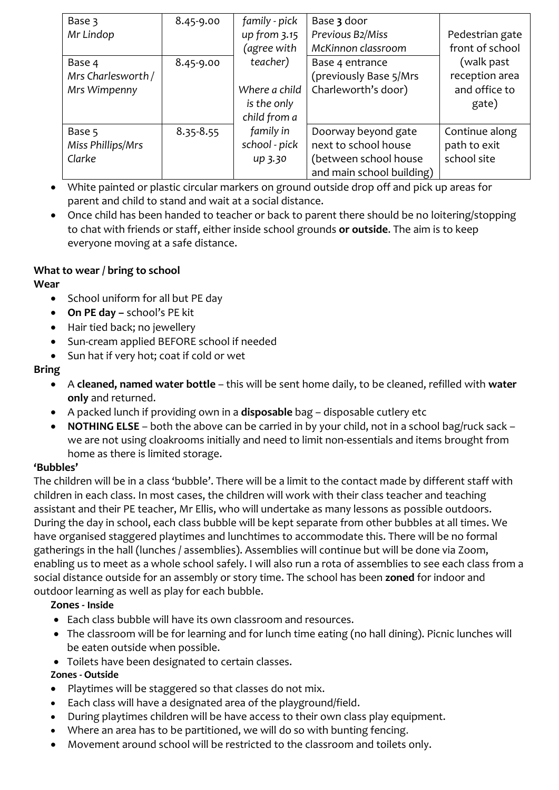| Base 3             | 8.45-9.00     | family - pick | Base 3 door               |                 |
|--------------------|---------------|---------------|---------------------------|-----------------|
| Mr Lindop          |               | up from 3.15  | Previous B2/Miss          | Pedestrian gate |
|                    |               | (agree with   | McKinnon classroom        | front of school |
| Base 4             | 8.45-9.00     | teacher)      | Base 4 entrance           | (walk past      |
| Mrs Charlesworth / |               |               | (previously Base 5/Mrs    | reception area  |
| Mrs Wimpenny       |               | Where a child | Charleworth's door)       | and office to   |
|                    |               | is the only   |                           | gate)           |
|                    |               | child from a  |                           |                 |
| Base 5             | $8.35 - 8.55$ | family in     | Doorway beyond gate       | Continue along  |
| Miss Phillips/Mrs  |               | school - pick | next to school house      | path to exit    |
| Clarke             |               | up 3.30       | (between school house     | school site     |
|                    |               |               | and main school building) |                 |

- White painted or plastic circular markers on ground outside drop off and pick up areas for parent and child to stand and wait at a social distance.
- Once child has been handed to teacher or back to parent there should be no loitering/stopping to chat with friends or staff, either inside school grounds **or outside**. The aim is to keep everyone moving at a safe distance.

# **What to wear / bring to school**

## **Wear**

- School uniform for all but PE day
- **On PE day –** school's PE kit
- Hair tied back; no jewellery
- Sun-cream applied BEFORE school if needed
- Sun hat if very hot; coat if cold or wet

# **Bring**

- A **cleaned, named water bottle** this will be sent home daily, to be cleaned, refilled with **water only** and returned.
- A packed lunch if providing own in a **disposable** bag disposable cutlery etc
- **NOTHING ELSE** both the above can be carried in by your child, not in a school bag/ruck sack we are not using cloakrooms initially and need to limit non-essentials and items brought from home as there is limited storage.

# **'Bubbles'**

The children will be in a class 'bubble'. There will be a limit to the contact made by different staff with children in each class. In most cases, the children will work with their class teacher and teaching assistant and their PE teacher, Mr Ellis, who will undertake as many lessons as possible outdoors. During the day in school, each class bubble will be kept separate from other bubbles at all times. We have organised staggered playtimes and lunchtimes to accommodate this. There will be no formal gatherings in the hall (lunches / assemblies). Assemblies will continue but will be done via Zoom, enabling us to meet as a whole school safely. I will also run a rota of assemblies to see each class from a social distance outside for an assembly or story time. The school has been **zoned** for indoor and outdoor learning as well as play for each bubble.

# **Zones - Inside**

- Each class bubble will have its own classroom and resources.
- The classroom will be for learning and for lunch time eating (no hall dining). Picnic lunches will be eaten outside when possible.
- Toilets have been designated to certain classes.

# **Zones - Outside**

- Playtimes will be staggered so that classes do not mix.
- Each class will have a designated area of the playground/field.
- During playtimes children will be have access to their own class play equipment.
- Where an area has to be partitioned, we will do so with bunting fencing.
- Movement around school will be restricted to the classroom and toilets only.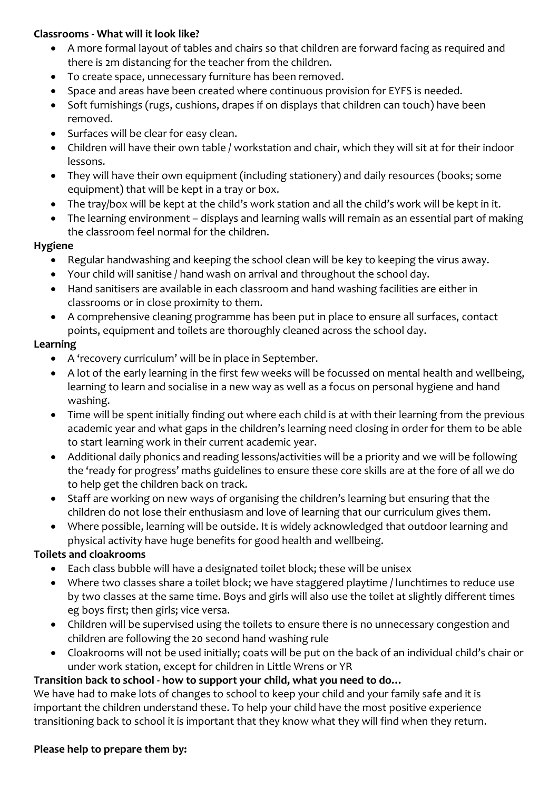#### **Classrooms - What will it look like?**

- A more formal layout of tables and chairs so that children are forward facing as required and there is 2m distancing for the teacher from the children.
- To create space, unnecessary furniture has been removed.
- Space and areas have been created where continuous provision for EYFS is needed.
- Soft furnishings (rugs, cushions, drapes if on displays that children can touch) have been removed.
- Surfaces will be clear for easy clean.
- Children will have their own table / workstation and chair, which they will sit at for their indoor lessons.
- They will have their own equipment (including stationery) and daily resources (books; some equipment) that will be kept in a tray or box.
- The tray/box will be kept at the child's work station and all the child's work will be kept in it.
- The learning environment displays and learning walls will remain as an essential part of making the classroom feel normal for the children.

## **Hygiene**

- Regular handwashing and keeping the school clean will be key to keeping the virus away.
- Your child will sanitise / hand wash on arrival and throughout the school day.
- Hand sanitisers are available in each classroom and hand washing facilities are either in classrooms or in close proximity to them.
- A comprehensive cleaning programme has been put in place to ensure all surfaces, contact points, equipment and toilets are thoroughly cleaned across the school day.

## **Learning**

- A 'recovery curriculum' will be in place in September.
- A lot of the early learning in the first few weeks will be focussed on mental health and wellbeing, learning to learn and socialise in a new way as well as a focus on personal hygiene and hand washing.
- Time will be spent initially finding out where each child is at with their learning from the previous academic year and what gaps in the children's learning need closing in order for them to be able to start learning work in their current academic year.
- Additional daily phonics and reading lessons/activities will be a priority and we will be following the 'ready for progress' maths guidelines to ensure these core skills are at the fore of all we do to help get the children back on track.
- Staff are working on new ways of organising the children's learning but ensuring that the children do not lose their enthusiasm and love of learning that our curriculum gives them.
- Where possible, learning will be outside. It is widely acknowledged that outdoor learning and physical activity have huge benefits for good health and wellbeing.

## **Toilets and cloakrooms**

- Each class bubble will have a designated toilet block; these will be unisex
- Where two classes share a toilet block; we have staggered playtime / lunchtimes to reduce use by two classes at the same time. Boys and girls will also use the toilet at slightly different times eg boys first; then girls; vice versa.
- Children will be supervised using the toilets to ensure there is no unnecessary congestion and children are following the 20 second hand washing rule
- Cloakrooms will not be used initially; coats will be put on the back of an individual child's chair or under work station, except for children in Little Wrens or YR

# **Transition back to school - how to support your child, what you need to do…**

We have had to make lots of changes to school to keep your child and your family safe and it is important the children understand these. To help your child have the most positive experience transitioning back to school it is important that they know what they will find when they return.

## **Please help to prepare them by:**